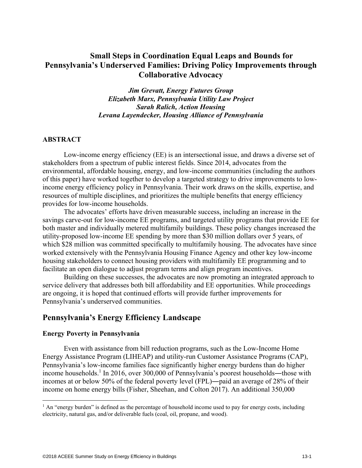# **Small Steps in Coordination Equal Leaps and Bounds for Pennsylvania's Underserved Families: Driving Policy Improvements through Collaborative Advocacy**

*Jim Grevatt, Energy Futures Group Elizabeth Marx, Pennsylvania Utility Law Project Sarah Ralich, Action Housing Levana Layendecker, Housing Alliance of Pennsylvania* 

### **ABSTRACT**

Low-income energy efficiency (EE) is an intersectional issue, and draws a diverse set of stakeholders from a spectrum of public interest fields. Since 2014, advocates from the environmental, affordable housing, energy, and low-income communities (including the authors of this paper) have worked together to develop a targeted strategy to drive improvements to lowincome energy efficiency policy in Pennsylvania. Their work draws on the skills, expertise, and resources of multiple disciplines, and prioritizes the multiple benefits that energy efficiency provides for low-income households.

The advocates' efforts have driven measurable success, including an increase in the savings carve-out for low-income EE programs, and targeted utility programs that provide EE for both master and individually metered multifamily buildings. These policy changes increased the utility-proposed low-income EE spending by more than \$30 million dollars over 5 years, of which \$28 million was committed specifically to multifamily housing. The advocates have since worked extensively with the Pennsylvania Housing Finance Agency and other key low-income housing stakeholders to connect housing providers with multifamily EE programming and to facilitate an open dialogue to adjust program terms and align program incentives.

Building on these successes, the advocates are now promoting an integrated approach to service delivery that addresses both bill affordability and EE opportunities. While proceedings are ongoing, it is hoped that continued efforts will provide further improvements for Pennsylvania's underserved communities.

## **Pennsylvania's Energy Efficiency Landscape**

#### **Energy Poverty in Pennsylvania**

 $\overline{a}$ 

Even with assistance from bill reduction programs, such as the Low-Income Home Energy Assistance Program (LIHEAP) and utility-run Customer Assistance Programs (CAP), Pennsylvania's low-income families face significantly higher energy burdens than do higher income households.<sup>1</sup> In 2016, over 300,000 of Pennsylvania's poorest households—those with incomes at or below 50% of the federal poverty level (FPL)―paid an average of 28% of their income on home energy bills (Fisher, Sheehan, and Colton 2017). An additional 350,000

<sup>&</sup>lt;sup>1</sup> An "energy burden" is defined as the percentage of household income used to pay for energy costs, including electricity, natural gas, and/or deliverable fuels (coal, oil, propane, and wood).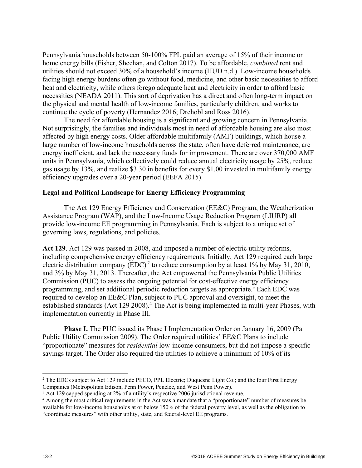Pennsylvania households between 50-100% FPL paid an average of 15% of their income on home energy bills (Fisher, Sheehan, and Colton 2017). To be affordable, *combined* rent and utilities should not exceed 30% of a household's income (HUD n.d.). Low-income households facing high energy burdens often go without food, medicine, and other basic necessities to afford heat and electricity, while others forego adequate heat and electricity in order to afford basic necessities (NEADA 2011). This sort of deprivation has a direct and often long-term impact on the physical and mental health of low-income families, particularly children, and works to continue the cycle of poverty (Hernandez 2016; Drehobl and Ross 2016).

The need for affordable housing is a significant and growing concern in Pennsylvania. Not surprisingly, the families and individuals most in need of affordable housing are also most affected by high energy costs. Older affordable multifamily (AMF) buildings, which house a large number of low-income households across the state, often have deferred maintenance, are energy inefficient, and lack the necessary funds for improvement. There are over 370,000 AMF units in Pennsylvania, which collectively could reduce annual electricity usage by 25%, reduce gas usage by 13%, and realize \$3.30 in benefits for every \$1.00 invested in multifamily energy efficiency upgrades over a 20-year period (EEFA 2015).

### **Legal and Political Landscape for Energy Efficiency Programming**

The Act 129 Energy Efficiency and Conservation (EE&C) Program, the Weatherization Assistance Program (WAP), and the Low-Income Usage Reduction Program (LIURP) all provide low-income EE programming in Pennsylvania. Each is subject to a unique set of governing laws, regulations, and policies.

**Act 129**. Act 129 was passed in 2008, and imposed a number of electric utility reforms, including comprehensive energy efficiency requirements. Initially, Act 129 required each large electric distribution company (EDC)<sup>2</sup> to reduce consumption by at least 1% by May 31, 2010, and 3% by May 31, 2013. Thereafter, the Act empowered the Pennsylvania Public Utilities Commission (PUC) to assess the ongoing potential for cost-effective energy efficiency programming, and set additional periodic reduction targets as appropriate.<sup>3</sup> Each EDC was required to develop an EE&C Plan, subject to PUC approval and oversight, to meet the established standards (Act 129 2008).<sup>4</sup> The Act is being implemented in multi-year Phases, with implementation currently in Phase III.

**Phase I.** The PUC issued its Phase I Implementation Order on January 16, 2009 (Pa Public Utility Commission 2009). The Order required utilities' EE&C Plans to include "proportionate" measures for *residential* low-income consumers, but did not impose a specific savings target. The Order also required the utilities to achieve a minimum of 10% of its

<u>.</u>

<sup>&</sup>lt;sup>2</sup> The EDCs subject to Act 129 include PECO, PPL Electric; Duquesne Light Co.; and the four First Energy Companies (Metropolitan Edison, Penn Power, Penelec, and West Penn Power).

 $3$  Act 129 capped spending at 2% of a utility's respective 2006 jurisdictional revenue.<br> $4$  Among the most critical requirements in the Act was a mandate that a "proportionate"

Among the most critical requirements in the Act was a mandate that a "proportionate" number of measures be available for low-income households at or below 150% of the federal poverty level, as well as the obligation to "coordinate measures" with other utility, state, and federal-level EE programs.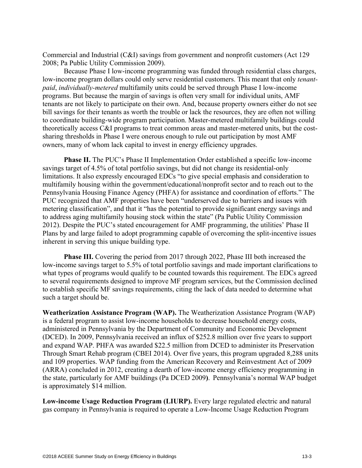Commercial and Industrial (C&I) savings from government and nonprofit customers (Act 129 2008; Pa Public Utility Commission 2009).

Because Phase I low-income programming was funded through residential class charges, low-income program dollars could only serve residential customers. This meant that only *tenantpaid*, *individually-metered* multifamily units could be served through Phase I low-income programs. But because the margin of savings is often very small for individual units, AMF tenants are not likely to participate on their own. And, because property owners either do not see bill savings for their tenants as worth the trouble or lack the resources, they are often not willing to coordinate building-wide program participation. Master-metered multifamily buildings could theoretically access C&I programs to treat common areas and master-metered units, but the costsharing thresholds in Phase I were onerous enough to rule out participation by most AMF owners, many of whom lack capital to invest in energy efficiency upgrades.

**Phase II.** The PUC's Phase II Implementation Order established a specific low-income savings target of 4.5% of total portfolio savings, but did not change its residential-only limitations. It also expressly encouraged EDCs "to give special emphasis and consideration to multifamily housing within the government/educational/nonprofit sector and to reach out to the Pennsylvania Housing Finance Agency (PHFA) for assistance and coordination of efforts." The PUC recognized that AMF properties have been "underserved due to barriers and issues with metering classification", and that it "has the potential to provide significant energy savings and to address aging multifamily housing stock within the state" (Pa Public Utility Commission 2012). Despite the PUC's stated encouragement for AMF programming, the utilities' Phase II Plans by and large failed to adopt programming capable of overcoming the split-incentive issues inherent in serving this unique building type.

**Phase III.** Covering the period from 2017 through 2022, Phase III both increased the low-income savings target to 5.5% of total portfolio savings and made important clarifications to what types of programs would qualify to be counted towards this requirement. The EDCs agreed to several requirements designed to improve MF program services, but the Commission declined to establish specific MF savings requirements, citing the lack of data needed to determine what such a target should be.

**Weatherization Assistance Program (WAP).** The Weatherization Assistance Program (WAP) is a federal program to assist low-income households to decrease household energy costs, administered in Pennsylvania by the Department of Community and Economic Development (DCED). In 2009, Pennsylvania received an influx of \$252.8 million over five years to support and expand WAP. PHFA was awarded \$22.5 million from DCED to administer its Preservation Through Smart Rehab program (CBEI 2014). Over five years, this program upgraded 8,288 units and 109 properties. WAP funding from the American Recovery and Reinvestment Act of 2009 (ARRA) concluded in 2012, creating a dearth of low-income energy efficiency programming in the state, particularly for AMF buildings (Pa DCED 2009**)**. Pennsylvania's normal WAP budget is approximately \$14 million.

**Low-income Usage Reduction Program (LIURP).** Every large regulated electric and natural gas company in Pennsylvania is required to operate a Low-Income Usage Reduction Program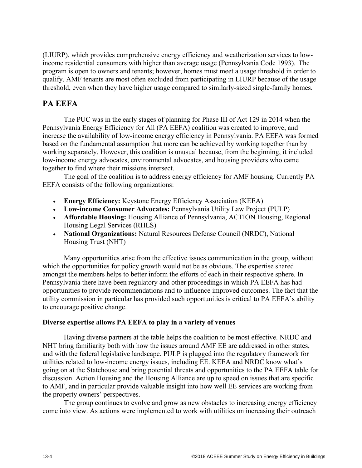(LIURP), which provides comprehensive energy efficiency and weatherization services to lowincome residential consumers with higher than average usage (Pennsylvania Code 1993). The program is open to owners and tenants; however, homes must meet a usage threshold in order to qualify. AMF tenants are most often excluded from participating in LIURP because of the usage threshold, even when they have higher usage compared to similarly-sized single-family homes.

# **PA EEFA**

The PUC was in the early stages of planning for Phase III of Act 129 in 2014 when the Pennsylvania Energy Efficiency for All (PA EEFA) coalition was created to improve, and increase the availability of low-income energy efficiency in Pennsylvania. PA EEFA was formed based on the fundamental assumption that more can be achieved by working together than by working separately. However, this coalition is unusual because, from the beginning, it included low-income energy advocates, environmental advocates, and housing providers who came together to find where their missions intersect.

The goal of the coalition is to address energy efficiency for AMF housing. Currently PA EEFA consists of the following organizations:

- **Energy Efficiency:** Keystone Energy Efficiency Association (KEEA)
- **Low-income Consumer Advocates:** Pennsylvania Utility Law Project (PULP)
- **Affordable Housing:** Housing Alliance of Pennsylvania, ACTION Housing, Regional Housing Legal Services (RHLS)
- **National Organizations:** Natural Resources Defense Council (NRDC), National Housing Trust (NHT)

Many opportunities arise from the effective issues communication in the group, without which the opportunities for policy growth would not be as obvious. The expertise shared amongst the members helps to better inform the efforts of each in their respective sphere. In Pennsylvania there have been regulatory and other proceedings in which PA EEFA has had opportunities to provide recommendations and to influence improved outcomes. The fact that the utility commission in particular has provided such opportunities is critical to PA EEFA's ability to encourage positive change.

## **Diverse expertise allows PA EEFA to play in a variety of venues**

Having diverse partners at the table helps the coalition to be most effective. NRDC and NHT bring familiarity both with how the issues around AMF EE are addressed in other states, and with the federal legislative landscape. PULP is plugged into the regulatory framework for utilities related to low-income energy issues, including EE. KEEA and NRDC know what's going on at the Statehouse and bring potential threats and opportunities to the PA EEFA table for discussion. Action Housing and the Housing Alliance are up to speed on issues that are specific to AMF, and in particular provide valuable insight into how well EE services are working from the property owners' perspectives.

The group continues to evolve and grow as new obstacles to increasing energy efficiency come into view. As actions were implemented to work with utilities on increasing their outreach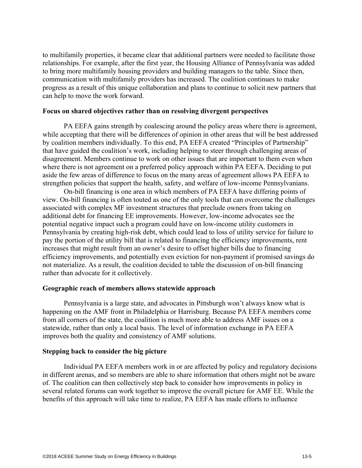to multifamily properties, it became clear that additional partners were needed to facilitate those relationships. For example, after the first year, the Housing Alliance of Pennsylvania was added to bring more multifamily housing providers and building managers to the table. Since then, communication with multifamily providers has increased. The coalition continues to make progress as a result of this unique collaboration and plans to continue to solicit new partners that can help to move the work forward.

### **Focus on shared objectives rather than on resolving divergent perspectives**

PA EEFA gains strength by coalescing around the policy areas where there is agreement, while accepting that there will be differences of opinion in other areas that will be best addressed by coalition members individually. To this end, PA EEFA created "Principles of Partnership" that have guided the coalition's work, including helping to steer through challenging areas of disagreement. Members continue to work on other issues that are important to them even when where there is not agreement on a preferred policy approach within PA EEFA. Deciding to put aside the few areas of difference to focus on the many areas of agreement allows PA EEFA to strengthen policies that support the health, safety, and welfare of low-income Pennsylvanians.

On-bill financing is one area in which members of PA EEFA have differing points of view. On-bill financing is often touted as one of the only tools that can overcome the challenges associated with complex MF investment structures that preclude owners from taking on additional debt for financing EE improvements. However, low-income advocates see the potential negative impact such a program could have on low-income utility customers in Pennsylvania by creating high-risk debt, which could lead to loss of utility service for failure to pay the portion of the utility bill that is related to financing the efficiency improvements, rent increases that might result from an owner's desire to offset higher bills due to financing efficiency improvements, and potentially even eviction for non-payment if promised savings do not materialize. As a result, the coalition decided to table the discussion of on-bill financing rather than advocate for it collectively.

### **Geographic reach of members allows statewide approach**

Pennsylvania is a large state, and advocates in Pittsburgh won't always know what is happening on the AMF front in Philadelphia or Harrisburg. Because PA EEFA members come from all corners of the state, the coalition is much more able to address AMF issues on a statewide, rather than only a local basis. The level of information exchange in PA EEFA improves both the quality and consistency of AMF solutions.

### **Stepping back to consider the big picture**

Individual PA EEFA members work in or are affected by policy and regulatory decisions in different arenas, and so members are able to share information that others might not be aware of. The coalition can then collectively step back to consider how improvements in policy in several related forums can work together to improve the overall picture for AMF EE. While the benefits of this approach will take time to realize, PA EEFA has made efforts to influence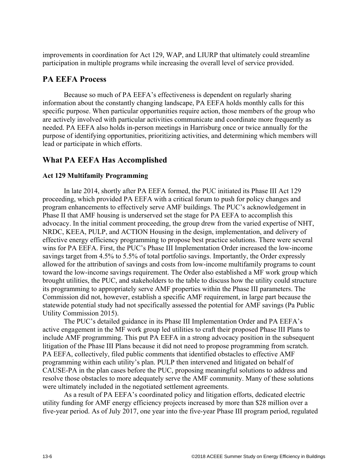improvements in coordination for Act 129, WAP, and LIURP that ultimately could streamline participation in multiple programs while increasing the overall level of service provided.

## **PA EEFA Process**

Because so much of PA EEFA's effectiveness is dependent on regularly sharing information about the constantly changing landscape, PA EEFA holds monthly calls for this specific purpose. When particular opportunities require action, those members of the group who are actively involved with particular activities communicate and coordinate more frequently as needed. PA EEFA also holds in-person meetings in Harrisburg once or twice annually for the purpose of identifying opportunities, prioritizing activities, and determining which members will lead or participate in which efforts.

# **What PA EEFA Has Accomplished**

## **Act 129 Multifamily Programming**

In late 2014, shortly after PA EEFA formed, the PUC initiated its Phase III Act 129 proceeding, which provided PA EEFA with a critical forum to push for policy changes and program enhancements to effectively serve AMF buildings. The PUC's acknowledgement in Phase II that AMF housing is underserved set the stage for PA EEFA to accomplish this advocacy. In the initial comment proceeding, the group drew from the varied expertise of NHT, NRDC, KEEA, PULP, and ACTION Housing in the design, implementation, and delivery of effective energy efficiency programming to propose best practice solutions. There were several wins for PA EEFA. First, the PUC's Phase III Implementation Order increased the low-income savings target from 4.5% to 5.5% of total portfolio savings. Importantly, the Order expressly allowed for the attribution of savings and costs from low-income multifamily programs to count toward the low-income savings requirement. The Order also established a MF work group which brought utilities, the PUC, and stakeholders to the table to discuss how the utility could structure its programming to appropriately serve AMF properties within the Phase III parameters. The Commission did not, however, establish a specific AMF requirement, in large part because the statewide potential study had not specifically assessed the potential for AMF savings (Pa Public Utility Commission 2015).

The PUC's detailed guidance in its Phase III Implementation Order and PA EEFA's active engagement in the MF work group led utilities to craft their proposed Phase III Plans to include AMF programming. This put PA EEFA in a strong advocacy position in the subsequent litigation of the Phase III Plans because it did not need to propose programming from scratch. PA EEFA, collectively, filed public comments that identified obstacles to effective AMF programming within each utility's plan. PULP then intervened and litigated on behalf of CAUSE-PA in the plan cases before the PUC, proposing meaningful solutions to address and resolve those obstacles to more adequately serve the AMF community. Many of these solutions were ultimately included in the negotiated settlement agreements.

As a result of PA EEFA's coordinated policy and litigation efforts, dedicated electric utility funding for AMF energy efficiency projects increased by more than \$28 million over a five-year period. As of July 2017, one year into the five-year Phase III program period, regulated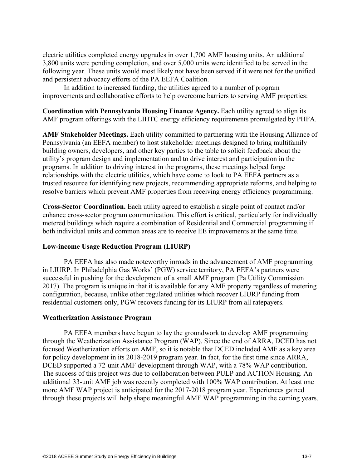electric utilities completed energy upgrades in over 1,700 AMF housing units. An additional 3,800 units were pending completion, and over 5,000 units were identified to be served in the following year. These units would most likely not have been served if it were not for the unified and persistent advocacy efforts of the PA EEFA Coalition.

In addition to increased funding, the utilities agreed to a number of program improvements and collaborative efforts to help overcome barriers to serving AMF properties:

**Coordination with Pennsylvania Housing Finance Agency.** Each utility agreed to align its AMF program offerings with the LIHTC energy efficiency requirements promulgated by PHFA.

**AMF Stakeholder Meetings.** Each utility committed to partnering with the Housing Alliance of Pennsylvania (an EEFA member) to host stakeholder meetings designed to bring multifamily building owners, developers, and other key parties to the table to solicit feedback about the utility's program design and implementation and to drive interest and participation in the programs. In addition to driving interest in the programs, these meetings helped forge relationships with the electric utilities, which have come to look to PA EEFA partners as a trusted resource for identifying new projects, recommending appropriate reforms, and helping to resolve barriers which prevent AMF properties from receiving energy efficiency programming.

**Cross-Sector Coordination.** Each utility agreed to establish a single point of contact and/or enhance cross-sector program communication. This effort is critical, particularly for individually metered buildings which require a combination of Residential and Commercial programming if both individual units and common areas are to receive EE improvements at the same time.

## **Low-income Usage Reduction Program (LIURP)**

PA EEFA has also made noteworthy inroads in the advancement of AMF programming in LIURP. In Philadelphia Gas Works' (PGW) service territory, PA EEFA's partners were successful in pushing for the development of a small AMF program (Pa Utility Commission 2017). The program is unique in that it is available for any AMF property regardless of metering configuration, because, unlike other regulated utilities which recover LIURP funding from residential customers only, PGW recovers funding for its LIURP from all ratepayers.

### **Weatherization Assistance Program**

PA EEFA members have begun to lay the groundwork to develop AMF programming through the Weatherization Assistance Program (WAP). Since the end of ARRA, DCED has not focused Weatherization efforts on AMF, so it is notable that DCED included AMF as a key area for policy development in its 2018-2019 program year. In fact, for the first time since ARRA, DCED supported a 72-unit AMF development through WAP, with a 78% WAP contribution. The success of this project was due to collaboration between PULP and ACTION Housing. An additional 33-unit AMF job was recently completed with 100% WAP contribution. At least one more AMF WAP project is anticipated for the 2017-2018 program year. Experiences gained through these projects will help shape meaningful AMF WAP programming in the coming years.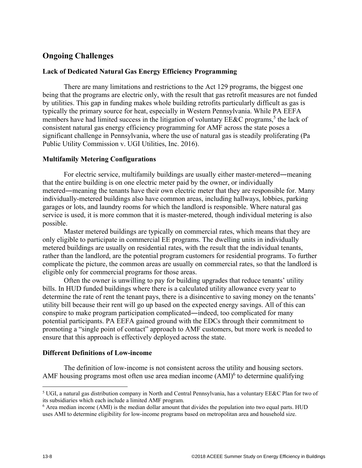# **Ongoing Challenges**

### **Lack of Dedicated Natural Gas Energy Efficiency Programming**

There are many limitations and restrictions to the Act 129 programs, the biggest one being that the programs are electric only, with the result that gas retrofit measures are not funded by utilities. This gap in funding makes whole building retrofits particularly difficult as gas is typically the primary source for heat, especially in Western Pennsylvania. While PA EEFA members have had limited success in the litigation of voluntary  $EExC$  programs,<sup>5</sup> the lack of consistent natural gas energy efficiency programming for AMF across the state poses a significant challenge in Pennsylvania, where the use of natural gas is steadily proliferating (Pa Public Utility Commission v. UGI Utilities, Inc. 2016).

### **Multifamily Metering Configurations**

For electric service, multifamily buildings are usually either master-metered―meaning that the entire building is on one electric meter paid by the owner, or individually metered―meaning the tenants have their own electric meter that they are responsible for. Many individually-metered buildings also have common areas, including hallways, lobbies, parking garages or lots, and laundry rooms for which the landlord is responsible. Where natural gas service is used, it is more common that it is master-metered, though individual metering is also possible.

Master metered buildings are typically on commercial rates, which means that they are only eligible to participate in commercial EE programs. The dwelling units in individually metered buildings are usually on residential rates, with the result that the individual tenants, rather than the landlord, are the potential program customers for residential programs. To further complicate the picture, the common areas are usually on commercial rates, so that the landlord is eligible only for commercial programs for those areas.

Often the owner is unwilling to pay for building upgrades that reduce tenants' utility bills. In HUD funded buildings where there is a calculated utility allowance every year to determine the rate of rent the tenant pays, there is a disincentive to saving money on the tenants' utility bill because their rent will go up based on the expected energy savings. All of this can conspire to make program participation complicated―indeed, too complicated for many potential participants. PA EEFA gained ground with the EDCs through their commitment to promoting a "single point of contact" approach to AMF customers, but more work is needed to ensure that this approach is effectively deployed across the state.

### **Different Definitions of Low-income**

The definition of low-income is not consistent across the utility and housing sectors. AMF housing programs most often use area median income  $(AMI)^6$  to determine qualifying

 $\overline{a}$ 

<sup>&</sup>lt;sup>5</sup> UGI, a natural gas distribution company in North and Central Pennsylvania, has a voluntary EE&C Plan for two of its subsidiaries which each include a limited AMF program.

<sup>6</sup> Area median income (AMI) is the median dollar amount that divides the population into two equal parts. HUD uses AMI to determine eligibility for low-income programs based on metropolitan area and household size.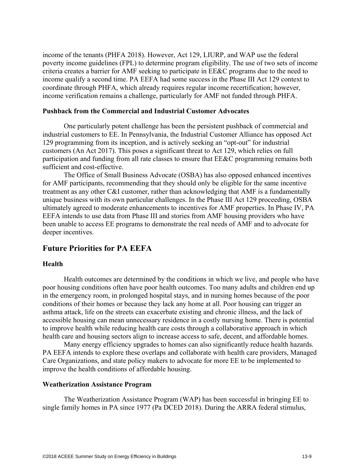income of the tenants (PHFA 2018). However, Act 129, LIURP, and WAP use the federal poverty income guidelines (FPL) to determine program eligibility. The use of two sets of income criteria creates a barrier for AMF seeking to participate in EE&C programs due to the need to income qualify a second time. PA EEFA had some success in the Phase III Act 129 context to coordinate through PHFA, which already requires regular income recertification; however, income verification remains a challenge, particularly for AMF not funded through PHFA.

### **Pushback from the Commercial and Industrial Customer Advocates**

One particularly potent challenge has been the persistent pushback of commercial and industrial customers to EE. In Pennsylvania, the Industrial Customer Alliance has opposed Act 129 programming from its inception, and is actively seeking an "opt-out" for industrial customers (An Act 2017). This poses a significant threat to Act 129, which relies on full participation and funding from all rate classes to ensure that EE&C programming remains both sufficient and cost-effective.

The Office of Small Business Advocate (OSBA) has also opposed enhanced incentives for AMF participants, recommending that they should only be eligible for the same incentive treatment as any other C&I customer, rather than acknowledging that AMF is a fundamentally unique business with its own particular challenges. In the Phase III Act 129 proceeding, OSBA ultimately agreed to moderate enhancements to incentives for AMF properties. In Phase IV, PA EEFA intends to use data from Phase III and stories from AMF housing providers who have been unable to access EE programs to demonstrate the real needs of AMF and to advocate for deeper incentives.

## **Future Priorities for PA EEFA**

#### **Health**

Health outcomes are determined by the conditions in which we live, and people who have poor housing conditions often have poor health outcomes. Too many adults and children end up in the emergency room, in prolonged hospital stays, and in nursing homes because of the poor conditions of their homes or because they lack any home at all. Poor housing can trigger an asthma attack, life on the streets can exacerbate existing and chronic illness, and the lack of accessible housing can mean unnecessary residence in a costly nursing home. There is potential to improve health while reducing health care costs through a collaborative approach in which health care and housing sectors align to increase access to safe, decent, and affordable homes.

Many energy efficiency upgrades to homes can also significantly reduce health hazards. PA EEFA intends to explore these overlaps and collaborate with health care providers, Managed Care Organizations, and state policy makers to advocate for more EE to be implemented to improve the health conditions of affordable housing.

### **Weatherization Assistance Program**

The Weatherization Assistance Program (WAP) has been successful in bringing EE to single family homes in PA since 1977 (Pa DCED 2018). During the ARRA federal stimulus,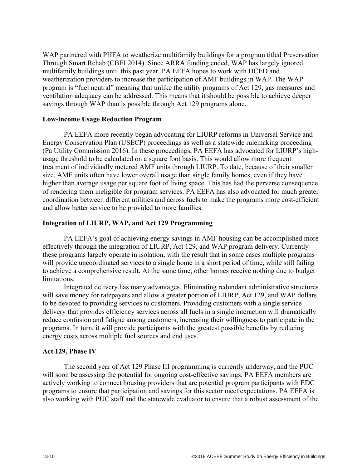WAP partnered with PHFA to weatherize multifamily buildings for a program titled Preservation Through Smart Rehab (CBEI 2014). Since ARRA funding ended, WAP has largely ignored multifamily buildings until this past year. PA EEFA hopes to work with DCED and weatherization providers to increase the participation of AMF buildings in WAP. The WAP program is "fuel neutral" meaning that unlike the utility programs of Act 129, gas measures and ventilation adequacy can be addressed. This means that it should be possible to achieve deeper savings through WAP than is possible through Act 129 programs alone.

## **Low-income Usage Reduction Program**

PA EEFA more recently began advocating for LIURP reforms in Universal Service and Energy Conservation Plan (USECP) proceedings as well as a statewide rulemaking proceeding (Pa Utility Commission 2016). In these proceedings, PA EEFA has advocated for LIURP's highusage threshold to be calculated on a square foot basis. This would allow more frequent treatment of individually metered AMF units through LIURP. To date, because of their smaller size, AMF units often have lower overall usage than single family homes, even if they have higher than average usage per square foot of living space. This has had the perverse consequence of rendering them ineligible for program services. PA EEFA has also advocated for much greater coordination between different utilities and across fuels to make the programs more cost-efficient and allow better service to be provided to more families.

### **Integration of LIURP, WAP, and Act 129 Programming**

PA EEFA's goal of achieving energy savings in AMF housing can be accomplished more effectively through the integration of LIURP, Act 129, and WAP program delivery. Currently these programs largely operate in isolation, with the result that in some cases multiple programs will provide uncoordinated services to a single home in a short period of time, while still failing to achieve a comprehensive result. At the same time, other homes receive nothing due to budget limitations.

Integrated delivery has many advantages. Eliminating redundant administrative structures will save money for ratepayers and allow a greater portion of LIURP, Act 129, and WAP dollars to be devoted to providing services to customers. Providing customers with a single service delivery that provides efficiency services across all fuels in a single interaction will dramatically reduce confusion and fatigue among customers, increasing their willingness to participate in the programs. In turn, it will provide participants with the greatest possible benefits by reducing energy costs across multiple fuel sources and end uses.

## **Act 129, Phase IV**

The second year of Act 129 Phase III programming is currently underway, and the PUC will soon be assessing the potential for ongoing cost-effective savings. PA EEFA members are actively working to connect housing providers that are potential program participants with EDC programs to ensure that participation and savings for this sector meet expectations. PA EEFA is also working with PUC staff and the statewide evaluator to ensure that a robust assessment of the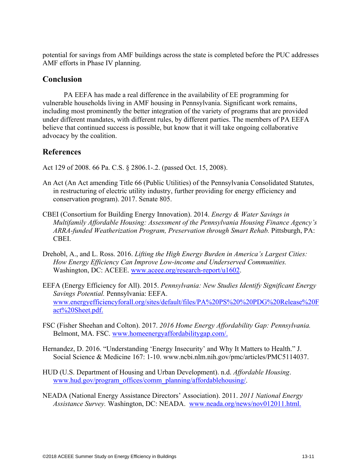potential for savings from AMF buildings across the state is completed before the PUC addresses AMF efforts in Phase IV planning.

# **Conclusion**

PA EEFA has made a real difference in the availability of EE programming for vulnerable households living in AMF housing in Pennsylvania. Significant work remains, including most prominently the better integration of the variety of programs that are provided under different mandates, with different rules, by different parties. The members of PA EEFA believe that continued success is possible, but know that it will take ongoing collaborative advocacy by the coalition.

# **References**

Act 129 of 2008. 66 Pa. C.S. § 2806.1-.2. (passed Oct. 15, 2008).

- An Act (An Act amending Title 66 (Public Utilities) of the Pennsylvania Consolidated Statutes, in restructuring of electric utility industry, further providing for energy efficiency and conservation program). 2017. Senate 805.
- CBEI (Consortium for Building Energy Innovation). 2014. *Energy & Water Savings in Multifamily Affordable Housing: Assessment of the Pennsylvania Housing Finance Agency's ARRA-funded Weatherization Program, Preservation through Smart Rehab.* Pittsburgh, PA: CBEI.
- Drehobl, A., and L. Ross. 2016. *Lifting the High Energy Burden in America's Largest Cities: How Energy Efficiency Can Improve Low-income and Underserved Communities.* Washington, DC: ACEEE. www.aceee.org/research-report/u1602.
- EEFA (Energy Efficiency for All). 2015. *Pennsylvania: New Studies Identify Significant Energy Savings Potential.* Pennsylvania: EEFA. www.energyefficiencyforall.org/sites/default/files/PA%20PS%20%20PDG%20Release%20F act%20Sheet.pdf.
- FSC (Fisher Sheehan and Colton). 2017. *2016 Home Energy Affordability Gap: Pennsylvania.* Belmont, MA. FSC. www.homeenergyaffordabilitygap.com/.
- Hernandez, D. 2016. "Understanding 'Energy Insecurity' and Why It Matters to Health." J. Social Science & Medicine 167: 1-10. www.ncbi.nlm.nih.gov/pmc/articles/PMC5114037.
- HUD (U.S. Department of Housing and Urban Development). n.d. *Affordable Housing*. www.hud.gov/program\_offices/comm\_planning/affordablehousing/.
- NEADA (National Energy Assistance Directors' Association). 2011. *2011 National Energy Assistance Survey.* Washington, DC: NEADA. www.neada.org/news/nov012011.html.